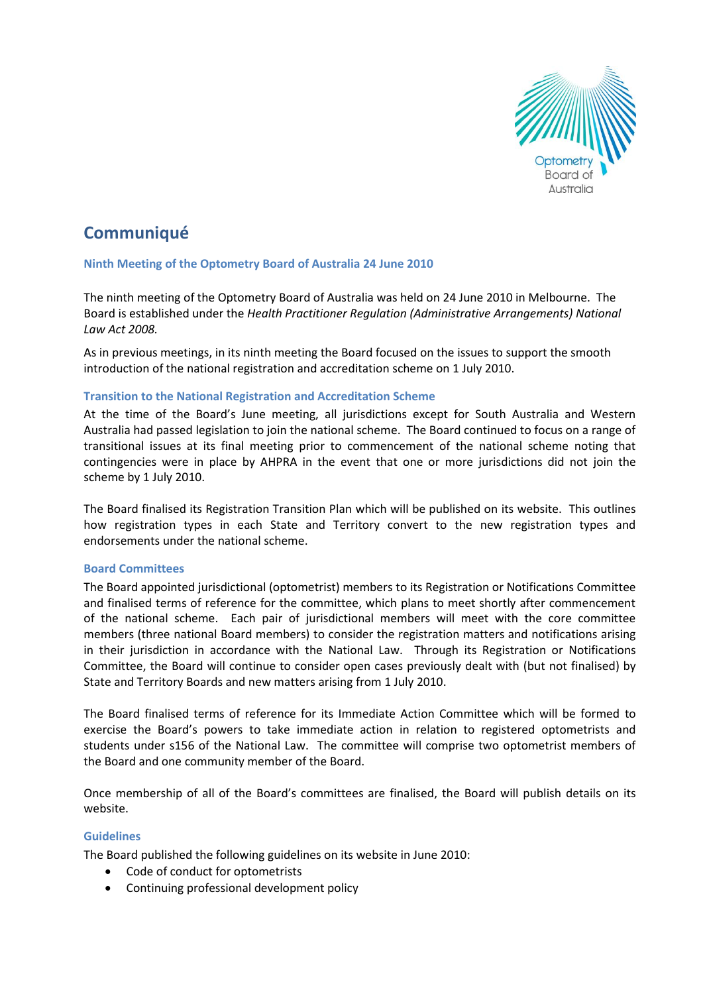

# **Communiqué**

## **Ninth Meeting of the Optometry Board of Australia 24 June 2010**

The ninth meeting of the Optometry Board of Australia was held on 24 June 2010 in Melbourne. The Board is established under the *Health Practitioner Regulation (Administrative Arrangements) National Law Act 2008.*

As in previous meetings, in its ninth meeting the Board focused on the issues to support the smooth introduction of the national registration and accreditation scheme on 1 July 2010.

## **Transition to the National Registration and Accreditation Scheme**

At the time of the Board's June meeting, all jurisdictions except for South Australia and Western Australia had passed legislation to join the national scheme. The Board continued to focus on a range of transitional issues at its final meeting prior to commencement of the national scheme noting that contingencies were in place by AHPRA in the event that one or more jurisdictions did not join the scheme by 1 July 2010.

The Board finalised its Registration Transition Plan which will be published on its website. This outlines how registration types in each State and Territory convert to the new registration types and endorsements under the national scheme.

## **Board Committees**

The Board appointed jurisdictional (optometrist) members to its Registration or Notifications Committee and finalised terms of reference for the committee, which plans to meet shortly after commencement of the national scheme. Each pair of jurisdictional members will meet with the core committee members (three national Board members) to consider the registration matters and notifications arising in their jurisdiction in accordance with the National Law. Through its Registration or Notifications Committee, the Board will continue to consider open cases previously dealt with (but not finalised) by State and Territory Boards and new matters arising from 1 July 2010.

The Board finalised terms of reference for its Immediate Action Committee which will be formed to exercise the Board's powers to take immediate action in relation to registered optometrists and students under s156 of the National Law. The committee will comprise two optometrist members of the Board and one community member of the Board.

Once membership of all of the Board's committees are finalised, the Board will publish details on its website.

## **Guidelines**

The Board published the following guidelines on its website in June 2010:

- Code of conduct for optometrists
- Continuing professional development policy